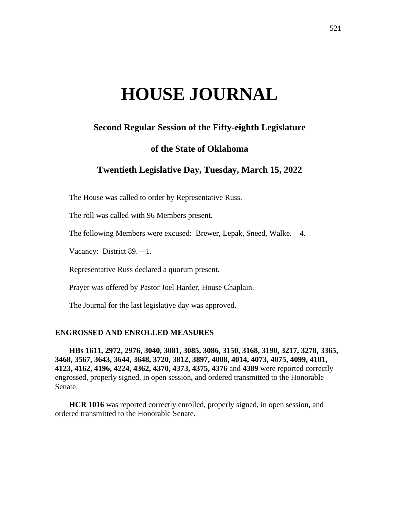# **HOUSE JOURNAL**

# **Second Regular Session of the Fifty-eighth Legislature**

## **of the State of Oklahoma**

# **Twentieth Legislative Day, Tuesday, March 15, 2022**

The House was called to order by Representative Russ.

The roll was called with 96 Members present.

The following Members were excused: Brewer, Lepak, Sneed, Walke.—4.

Vacancy: District 89.—1.

Representative Russ declared a quorum present.

Prayer was offered by Pastor Joel Harder, House Chaplain.

The Journal for the last legislative day was approved.

## **ENGROSSED AND ENROLLED MEASURES**

**HBs 1611, 2972, 2976, 3040, 3081, 3085, 3086, 3150, 3168, 3190, 3217, 3278, 3365, 3468, 3567, 3643, 3644, 3648, 3720, 3812, 3897, 4008, 4014, 4073, 4075, 4099, 4101, 4123, 4162, 4196, 4224, 4362, 4370, 4373, 4375, 4376** and **4389** were reported correctly engrossed, properly signed, in open session, and ordered transmitted to the Honorable Senate.

**HCR 1016** was reported correctly enrolled, properly signed, in open session, and ordered transmitted to the Honorable Senate.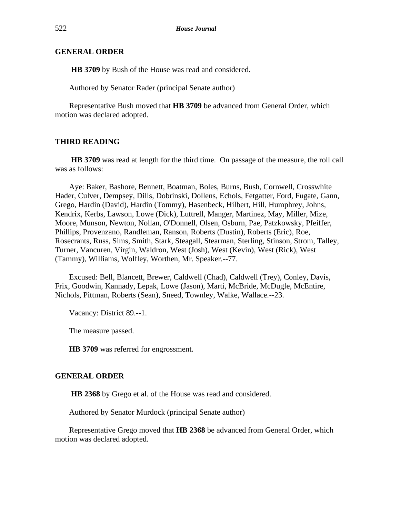## **GENERAL ORDER**

**HB 3709** by Bush of the House was read and considered.

Authored by Senator Rader (principal Senate author)

Representative Bush moved that **HB 3709** be advanced from General Order, which motion was declared adopted.

## **THIRD READING**

**HB 3709** was read at length for the third time. On passage of the measure, the roll call was as follows:

Aye: Baker, Bashore, Bennett, Boatman, Boles, Burns, Bush, Cornwell, Crosswhite Hader, Culver, Dempsey, Dills, Dobrinski, Dollens, Echols, Fetgatter, Ford, Fugate, Gann, Grego, Hardin (David), Hardin (Tommy), Hasenbeck, Hilbert, Hill, Humphrey, Johns, Kendrix, Kerbs, Lawson, Lowe (Dick), Luttrell, Manger, Martinez, May, Miller, Mize, Moore, Munson, Newton, Nollan, O'Donnell, Olsen, Osburn, Pae, Patzkowsky, Pfeiffer, Phillips, Provenzano, Randleman, Ranson, Roberts (Dustin), Roberts (Eric), Roe, Rosecrants, Russ, Sims, Smith, Stark, Steagall, Stearman, Sterling, Stinson, Strom, Talley, Turner, Vancuren, Virgin, Waldron, West (Josh), West (Kevin), West (Rick), West (Tammy), Williams, Wolfley, Worthen, Mr. Speaker.--77.

Excused: Bell, Blancett, Brewer, Caldwell (Chad), Caldwell (Trey), Conley, Davis, Frix, Goodwin, Kannady, Lepak, Lowe (Jason), Marti, McBride, McDugle, McEntire, Nichols, Pittman, Roberts (Sean), Sneed, Townley, Walke, Wallace.--23.

Vacancy: District 89.--1.

The measure passed.

**HB 3709** was referred for engrossment.

## **GENERAL ORDER**

**HB 2368** by Grego et al. of the House was read and considered.

Authored by Senator Murdock (principal Senate author)

Representative Grego moved that **HB 2368** be advanced from General Order, which motion was declared adopted.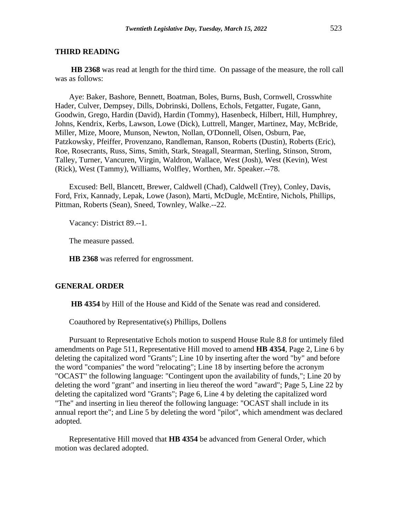**HB 2368** was read at length for the third time. On passage of the measure, the roll call was as follows:

Aye: Baker, Bashore, Bennett, Boatman, Boles, Burns, Bush, Cornwell, Crosswhite Hader, Culver, Dempsey, Dills, Dobrinski, Dollens, Echols, Fetgatter, Fugate, Gann, Goodwin, Grego, Hardin (David), Hardin (Tommy), Hasenbeck, Hilbert, Hill, Humphrey, Johns, Kendrix, Kerbs, Lawson, Lowe (Dick), Luttrell, Manger, Martinez, May, McBride, Miller, Mize, Moore, Munson, Newton, Nollan, O'Donnell, Olsen, Osburn, Pae, Patzkowsky, Pfeiffer, Provenzano, Randleman, Ranson, Roberts (Dustin), Roberts (Eric), Roe, Rosecrants, Russ, Sims, Smith, Stark, Steagall, Stearman, Sterling, Stinson, Strom, Talley, Turner, Vancuren, Virgin, Waldron, Wallace, West (Josh), West (Kevin), West (Rick), West (Tammy), Williams, Wolfley, Worthen, Mr. Speaker.--78.

Excused: Bell, Blancett, Brewer, Caldwell (Chad), Caldwell (Trey), Conley, Davis, Ford, Frix, Kannady, Lepak, Lowe (Jason), Marti, McDugle, McEntire, Nichols, Phillips, Pittman, Roberts (Sean), Sneed, Townley, Walke.--22.

Vacancy: District 89.--1.

The measure passed.

**HB 2368** was referred for engrossment.

## **GENERAL ORDER**

**HB 4354** by Hill of the House and Kidd of the Senate was read and considered.

Coauthored by Representative(s) Phillips, Dollens

Pursuant to Representative Echols motion to suspend House Rule 8.8 for untimely filed amendments on Page 511, Representative Hill moved to amend **HB 4354**, Page 2, Line 6 by deleting the capitalized word "Grants"; Line 10 by inserting after the word "by" and before the word "companies" the word "relocating"; Line 18 by inserting before the acronym "OCAST" the following language: "Contingent upon the availability of funds,"; Line 20 by deleting the word "grant" and inserting in lieu thereof the word "award"; Page 5, Line 22 by deleting the capitalized word "Grants"; Page 6, Line 4 by deleting the capitalized word "The" and inserting in lieu thereof the following language: "OCAST shall include in its annual report the"; and Line 5 by deleting the word "pilot", which amendment was declared adopted.

Representative Hill moved that **HB 4354** be advanced from General Order, which motion was declared adopted.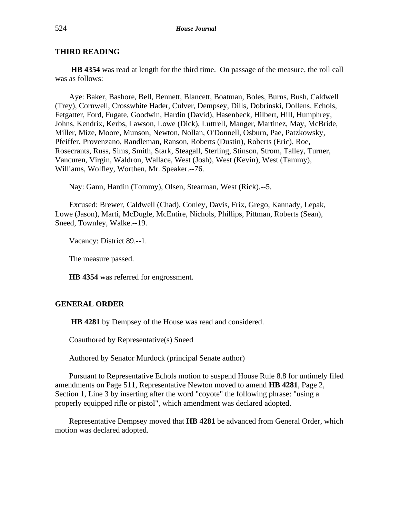**HB 4354** was read at length for the third time. On passage of the measure, the roll call was as follows:

Aye: Baker, Bashore, Bell, Bennett, Blancett, Boatman, Boles, Burns, Bush, Caldwell (Trey), Cornwell, Crosswhite Hader, Culver, Dempsey, Dills, Dobrinski, Dollens, Echols, Fetgatter, Ford, Fugate, Goodwin, Hardin (David), Hasenbeck, Hilbert, Hill, Humphrey, Johns, Kendrix, Kerbs, Lawson, Lowe (Dick), Luttrell, Manger, Martinez, May, McBride, Miller, Mize, Moore, Munson, Newton, Nollan, O'Donnell, Osburn, Pae, Patzkowsky, Pfeiffer, Provenzano, Randleman, Ranson, Roberts (Dustin), Roberts (Eric), Roe, Rosecrants, Russ, Sims, Smith, Stark, Steagall, Sterling, Stinson, Strom, Talley, Turner, Vancuren, Virgin, Waldron, Wallace, West (Josh), West (Kevin), West (Tammy), Williams, Wolfley, Worthen, Mr. Speaker.--76.

Nay: Gann, Hardin (Tommy), Olsen, Stearman, West (Rick).--5.

Excused: Brewer, Caldwell (Chad), Conley, Davis, Frix, Grego, Kannady, Lepak, Lowe (Jason), Marti, McDugle, McEntire, Nichols, Phillips, Pittman, Roberts (Sean), Sneed, Townley, Walke.--19.

Vacancy: District 89.--1.

The measure passed.

**HB 4354** was referred for engrossment.

## **GENERAL ORDER**

**HB 4281** by Dempsey of the House was read and considered.

Coauthored by Representative(s) Sneed

Authored by Senator Murdock (principal Senate author)

Pursuant to Representative Echols motion to suspend House Rule 8.8 for untimely filed amendments on Page 511, Representative Newton moved to amend **HB 4281**, Page 2, Section 1, Line 3 by inserting after the word "coyote" the following phrase: "using a properly equipped rifle or pistol", which amendment was declared adopted.

Representative Dempsey moved that **HB 4281** be advanced from General Order, which motion was declared adopted.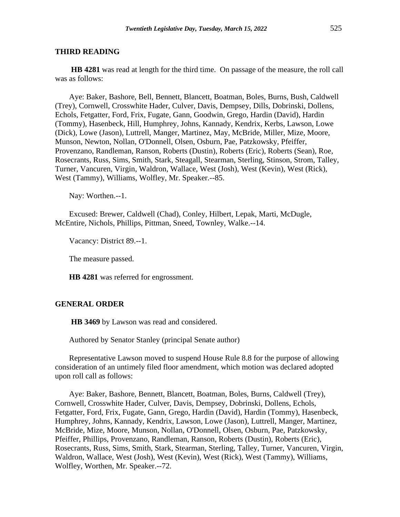**HB 4281** was read at length for the third time. On passage of the measure, the roll call was as follows:

Aye: Baker, Bashore, Bell, Bennett, Blancett, Boatman, Boles, Burns, Bush, Caldwell (Trey), Cornwell, Crosswhite Hader, Culver, Davis, Dempsey, Dills, Dobrinski, Dollens, Echols, Fetgatter, Ford, Frix, Fugate, Gann, Goodwin, Grego, Hardin (David), Hardin (Tommy), Hasenbeck, Hill, Humphrey, Johns, Kannady, Kendrix, Kerbs, Lawson, Lowe (Dick), Lowe (Jason), Luttrell, Manger, Martinez, May, McBride, Miller, Mize, Moore, Munson, Newton, Nollan, O'Donnell, Olsen, Osburn, Pae, Patzkowsky, Pfeiffer, Provenzano, Randleman, Ranson, Roberts (Dustin), Roberts (Eric), Roberts (Sean), Roe, Rosecrants, Russ, Sims, Smith, Stark, Steagall, Stearman, Sterling, Stinson, Strom, Talley, Turner, Vancuren, Virgin, Waldron, Wallace, West (Josh), West (Kevin), West (Rick), West (Tammy), Williams, Wolfley, Mr. Speaker.--85.

Nay: Worthen.--1.

Excused: Brewer, Caldwell (Chad), Conley, Hilbert, Lepak, Marti, McDugle, McEntire, Nichols, Phillips, Pittman, Sneed, Townley, Walke.--14.

Vacancy: District 89.--1.

The measure passed.

**HB 4281** was referred for engrossment.

## **GENERAL ORDER**

**HB 3469** by Lawson was read and considered.

Authored by Senator Stanley (principal Senate author)

Representative Lawson moved to suspend House Rule 8.8 for the purpose of allowing consideration of an untimely filed floor amendment, which motion was declared adopted upon roll call as follows:

Aye: Baker, Bashore, Bennett, Blancett, Boatman, Boles, Burns, Caldwell (Trey), Cornwell, Crosswhite Hader, Culver, Davis, Dempsey, Dobrinski, Dollens, Echols, Fetgatter, Ford, Frix, Fugate, Gann, Grego, Hardin (David), Hardin (Tommy), Hasenbeck, Humphrey, Johns, Kannady, Kendrix, Lawson, Lowe (Jason), Luttrell, Manger, Martinez, McBride, Mize, Moore, Munson, Nollan, O'Donnell, Olsen, Osburn, Pae, Patzkowsky, Pfeiffer, Phillips, Provenzano, Randleman, Ranson, Roberts (Dustin), Roberts (Eric), Rosecrants, Russ, Sims, Smith, Stark, Stearman, Sterling, Talley, Turner, Vancuren, Virgin, Waldron, Wallace, West (Josh), West (Kevin), West (Rick), West (Tammy), Williams, Wolfley, Worthen, Mr. Speaker.--72.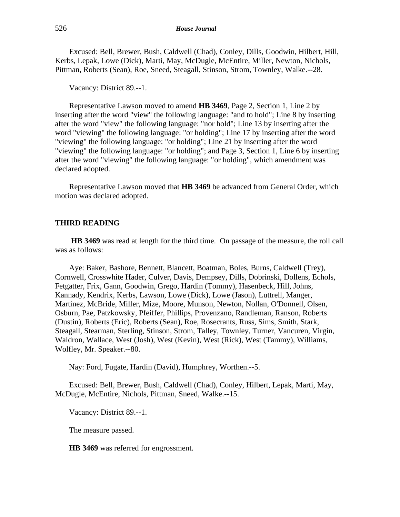Excused: Bell, Brewer, Bush, Caldwell (Chad), Conley, Dills, Goodwin, Hilbert, Hill, Kerbs, Lepak, Lowe (Dick), Marti, May, McDugle, McEntire, Miller, Newton, Nichols, Pittman, Roberts (Sean), Roe, Sneed, Steagall, Stinson, Strom, Townley, Walke.--28.

Vacancy: District 89.--1.

Representative Lawson moved to amend **HB 3469**, Page 2, Section 1, Line 2 by inserting after the word "view" the following language: "and to hold"; Line 8 by inserting after the word "view" the following language: "nor hold"; Line 13 by inserting after the word "viewing" the following language: "or holding"; Line 17 by inserting after the word "viewing" the following language: "or holding"; Line 21 by inserting after the word "viewing" the following language: "or holding"; and Page 3, Section 1, Line 6 by inserting after the word "viewing" the following language: "or holding", which amendment was declared adopted.

Representative Lawson moved that **HB 3469** be advanced from General Order, which motion was declared adopted.

## **THIRD READING**

**HB 3469** was read at length for the third time. On passage of the measure, the roll call was as follows:

Aye: Baker, Bashore, Bennett, Blancett, Boatman, Boles, Burns, Caldwell (Trey), Cornwell, Crosswhite Hader, Culver, Davis, Dempsey, Dills, Dobrinski, Dollens, Echols, Fetgatter, Frix, Gann, Goodwin, Grego, Hardin (Tommy), Hasenbeck, Hill, Johns, Kannady, Kendrix, Kerbs, Lawson, Lowe (Dick), Lowe (Jason), Luttrell, Manger, Martinez, McBride, Miller, Mize, Moore, Munson, Newton, Nollan, O'Donnell, Olsen, Osburn, Pae, Patzkowsky, Pfeiffer, Phillips, Provenzano, Randleman, Ranson, Roberts (Dustin), Roberts (Eric), Roberts (Sean), Roe, Rosecrants, Russ, Sims, Smith, Stark, Steagall, Stearman, Sterling, Stinson, Strom, Talley, Townley, Turner, Vancuren, Virgin, Waldron, Wallace, West (Josh), West (Kevin), West (Rick), West (Tammy), Williams, Wolfley, Mr. Speaker.--80.

Nay: Ford, Fugate, Hardin (David), Humphrey, Worthen.--5.

Excused: Bell, Brewer, Bush, Caldwell (Chad), Conley, Hilbert, Lepak, Marti, May, McDugle, McEntire, Nichols, Pittman, Sneed, Walke.--15.

Vacancy: District 89.--1.

The measure passed.

**HB 3469** was referred for engrossment.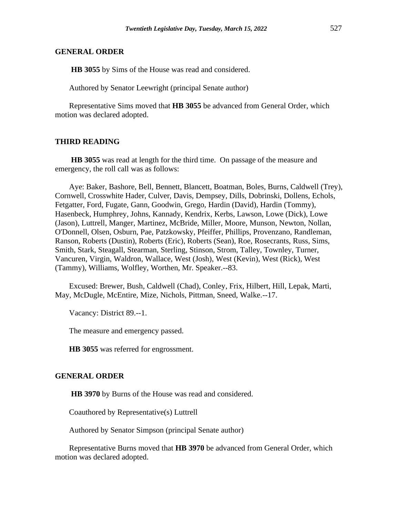## **GENERAL ORDER**

**HB 3055** by Sims of the House was read and considered.

Authored by Senator Leewright (principal Senate author)

Representative Sims moved that **HB 3055** be advanced from General Order, which motion was declared adopted.

## **THIRD READING**

**HB 3055** was read at length for the third time. On passage of the measure and emergency, the roll call was as follows:

Aye: Baker, Bashore, Bell, Bennett, Blancett, Boatman, Boles, Burns, Caldwell (Trey), Cornwell, Crosswhite Hader, Culver, Davis, Dempsey, Dills, Dobrinski, Dollens, Echols, Fetgatter, Ford, Fugate, Gann, Goodwin, Grego, Hardin (David), Hardin (Tommy), Hasenbeck, Humphrey, Johns, Kannady, Kendrix, Kerbs, Lawson, Lowe (Dick), Lowe (Jason), Luttrell, Manger, Martinez, McBride, Miller, Moore, Munson, Newton, Nollan, O'Donnell, Olsen, Osburn, Pae, Patzkowsky, Pfeiffer, Phillips, Provenzano, Randleman, Ranson, Roberts (Dustin), Roberts (Eric), Roberts (Sean), Roe, Rosecrants, Russ, Sims, Smith, Stark, Steagall, Stearman, Sterling, Stinson, Strom, Talley, Townley, Turner, Vancuren, Virgin, Waldron, Wallace, West (Josh), West (Kevin), West (Rick), West (Tammy), Williams, Wolfley, Worthen, Mr. Speaker.--83.

Excused: Brewer, Bush, Caldwell (Chad), Conley, Frix, Hilbert, Hill, Lepak, Marti, May, McDugle, McEntire, Mize, Nichols, Pittman, Sneed, Walke.--17.

Vacancy: District 89.--1.

The measure and emergency passed.

**HB 3055** was referred for engrossment.

## **GENERAL ORDER**

**HB 3970** by Burns of the House was read and considered.

Coauthored by Representative(s) Luttrell

Authored by Senator Simpson (principal Senate author)

Representative Burns moved that **HB 3970** be advanced from General Order, which motion was declared adopted.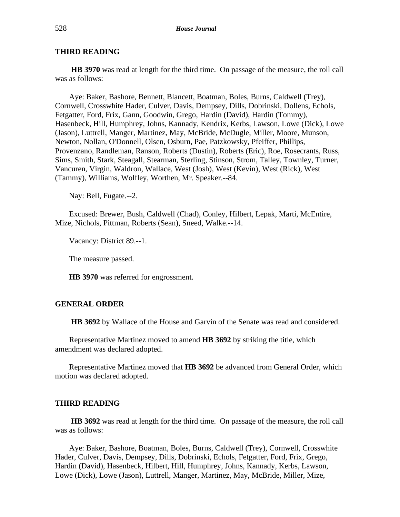**HB 3970** was read at length for the third time. On passage of the measure, the roll call was as follows:

Aye: Baker, Bashore, Bennett, Blancett, Boatman, Boles, Burns, Caldwell (Trey), Cornwell, Crosswhite Hader, Culver, Davis, Dempsey, Dills, Dobrinski, Dollens, Echols, Fetgatter, Ford, Frix, Gann, Goodwin, Grego, Hardin (David), Hardin (Tommy), Hasenbeck, Hill, Humphrey, Johns, Kannady, Kendrix, Kerbs, Lawson, Lowe (Dick), Lowe (Jason), Luttrell, Manger, Martinez, May, McBride, McDugle, Miller, Moore, Munson, Newton, Nollan, O'Donnell, Olsen, Osburn, Pae, Patzkowsky, Pfeiffer, Phillips, Provenzano, Randleman, Ranson, Roberts (Dustin), Roberts (Eric), Roe, Rosecrants, Russ, Sims, Smith, Stark, Steagall, Stearman, Sterling, Stinson, Strom, Talley, Townley, Turner, Vancuren, Virgin, Waldron, Wallace, West (Josh), West (Kevin), West (Rick), West (Tammy), Williams, Wolfley, Worthen, Mr. Speaker.--84.

Nay: Bell, Fugate.--2.

Excused: Brewer, Bush, Caldwell (Chad), Conley, Hilbert, Lepak, Marti, McEntire, Mize, Nichols, Pittman, Roberts (Sean), Sneed, Walke.--14.

Vacancy: District 89.--1.

The measure passed.

**HB 3970** was referred for engrossment.

## **GENERAL ORDER**

**HB 3692** by Wallace of the House and Garvin of the Senate was read and considered.

Representative Martinez moved to amend **HB 3692** by striking the title, which amendment was declared adopted.

Representative Martinez moved that **HB 3692** be advanced from General Order, which motion was declared adopted.

## **THIRD READING**

**HB 3692** was read at length for the third time. On passage of the measure, the roll call was as follows:

Aye: Baker, Bashore, Boatman, Boles, Burns, Caldwell (Trey), Cornwell, Crosswhite Hader, Culver, Davis, Dempsey, Dills, Dobrinski, Echols, Fetgatter, Ford, Frix, Grego, Hardin (David), Hasenbeck, Hilbert, Hill, Humphrey, Johns, Kannady, Kerbs, Lawson, Lowe (Dick), Lowe (Jason), Luttrell, Manger, Martinez, May, McBride, Miller, Mize,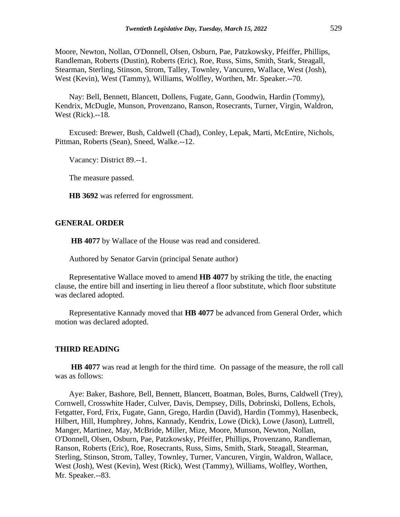Moore, Newton, Nollan, O'Donnell, Olsen, Osburn, Pae, Patzkowsky, Pfeiffer, Phillips, Randleman, Roberts (Dustin), Roberts (Eric), Roe, Russ, Sims, Smith, Stark, Steagall, Stearman, Sterling, Stinson, Strom, Talley, Townley, Vancuren, Wallace, West (Josh), West (Kevin), West (Tammy), Williams, Wolfley, Worthen, Mr. Speaker.--70.

Nay: Bell, Bennett, Blancett, Dollens, Fugate, Gann, Goodwin, Hardin (Tommy), Kendrix, McDugle, Munson, Provenzano, Ranson, Rosecrants, Turner, Virgin, Waldron, West (Rick).--18.

Excused: Brewer, Bush, Caldwell (Chad), Conley, Lepak, Marti, McEntire, Nichols, Pittman, Roberts (Sean), Sneed, Walke.--12.

Vacancy: District 89.--1.

The measure passed.

**HB 3692** was referred for engrossment.

## **GENERAL ORDER**

**HB 4077** by Wallace of the House was read and considered.

Authored by Senator Garvin (principal Senate author)

Representative Wallace moved to amend **HB 4077** by striking the title, the enacting clause, the entire bill and inserting in lieu thereof a floor substitute, which floor substitute was declared adopted.

Representative Kannady moved that **HB 4077** be advanced from General Order, which motion was declared adopted.

## **THIRD READING**

**HB 4077** was read at length for the third time. On passage of the measure, the roll call was as follows:

Aye: Baker, Bashore, Bell, Bennett, Blancett, Boatman, Boles, Burns, Caldwell (Trey), Cornwell, Crosswhite Hader, Culver, Davis, Dempsey, Dills, Dobrinski, Dollens, Echols, Fetgatter, Ford, Frix, Fugate, Gann, Grego, Hardin (David), Hardin (Tommy), Hasenbeck, Hilbert, Hill, Humphrey, Johns, Kannady, Kendrix, Lowe (Dick), Lowe (Jason), Luttrell, Manger, Martinez, May, McBride, Miller, Mize, Moore, Munson, Newton, Nollan, O'Donnell, Olsen, Osburn, Pae, Patzkowsky, Pfeiffer, Phillips, Provenzano, Randleman, Ranson, Roberts (Eric), Roe, Rosecrants, Russ, Sims, Smith, Stark, Steagall, Stearman, Sterling, Stinson, Strom, Talley, Townley, Turner, Vancuren, Virgin, Waldron, Wallace, West (Josh), West (Kevin), West (Rick), West (Tammy), Williams, Wolfley, Worthen, Mr. Speaker.--83.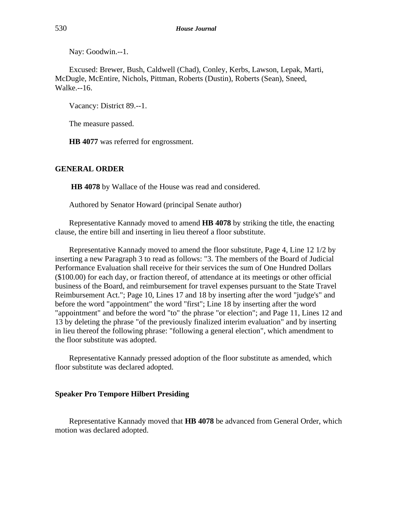Nay: Goodwin.--1.

Excused: Brewer, Bush, Caldwell (Chad), Conley, Kerbs, Lawson, Lepak, Marti, McDugle, McEntire, Nichols, Pittman, Roberts (Dustin), Roberts (Sean), Sneed, Walke.--16.

Vacancy: District 89.--1.

The measure passed.

**HB 4077** was referred for engrossment.

## **GENERAL ORDER**

**HB 4078** by Wallace of the House was read and considered.

Authored by Senator Howard (principal Senate author)

Representative Kannady moved to amend **HB 4078** by striking the title, the enacting clause, the entire bill and inserting in lieu thereof a floor substitute.

Representative Kannady moved to amend the floor substitute, Page 4, Line 12 1/2 by inserting a new Paragraph 3 to read as follows: "3. The members of the Board of Judicial Performance Evaluation shall receive for their services the sum of One Hundred Dollars (\$100.00) for each day, or fraction thereof, of attendance at its meetings or other official business of the Board, and reimbursement for travel expenses pursuant to the State Travel Reimbursement Act."; Page 10, Lines 17 and 18 by inserting after the word "judge's" and before the word "appointment" the word "first"; Line 18 by inserting after the word "appointment" and before the word "to" the phrase "or election"; and Page 11, Lines 12 and 13 by deleting the phrase "of the previously finalized interim evaluation" and by inserting in lieu thereof the following phrase: "following a general election", which amendment to the floor substitute was adopted.

Representative Kannady pressed adoption of the floor substitute as amended, which floor substitute was declared adopted.

#### **Speaker Pro Tempore Hilbert Presiding**

Representative Kannady moved that **HB 4078** be advanced from General Order, which motion was declared adopted.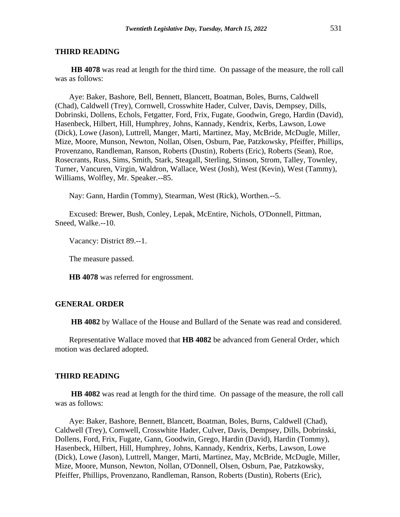**HB 4078** was read at length for the third time. On passage of the measure, the roll call was as follows:

Aye: Baker, Bashore, Bell, Bennett, Blancett, Boatman, Boles, Burns, Caldwell (Chad), Caldwell (Trey), Cornwell, Crosswhite Hader, Culver, Davis, Dempsey, Dills, Dobrinski, Dollens, Echols, Fetgatter, Ford, Frix, Fugate, Goodwin, Grego, Hardin (David), Hasenbeck, Hilbert, Hill, Humphrey, Johns, Kannady, Kendrix, Kerbs, Lawson, Lowe (Dick), Lowe (Jason), Luttrell, Manger, Marti, Martinez, May, McBride, McDugle, Miller, Mize, Moore, Munson, Newton, Nollan, Olsen, Osburn, Pae, Patzkowsky, Pfeiffer, Phillips, Provenzano, Randleman, Ranson, Roberts (Dustin), Roberts (Eric), Roberts (Sean), Roe, Rosecrants, Russ, Sims, Smith, Stark, Steagall, Sterling, Stinson, Strom, Talley, Townley, Turner, Vancuren, Virgin, Waldron, Wallace, West (Josh), West (Kevin), West (Tammy), Williams, Wolfley, Mr. Speaker.--85.

Nay: Gann, Hardin (Tommy), Stearman, West (Rick), Worthen.--5.

Excused: Brewer, Bush, Conley, Lepak, McEntire, Nichols, O'Donnell, Pittman, Sneed, Walke.--10.

Vacancy: District 89.--1.

The measure passed.

**HB 4078** was referred for engrossment.

## **GENERAL ORDER**

**HB 4082** by Wallace of the House and Bullard of the Senate was read and considered.

Representative Wallace moved that **HB 4082** be advanced from General Order, which motion was declared adopted.

#### **THIRD READING**

**HB 4082** was read at length for the third time. On passage of the measure, the roll call was as follows:

Aye: Baker, Bashore, Bennett, Blancett, Boatman, Boles, Burns, Caldwell (Chad), Caldwell (Trey), Cornwell, Crosswhite Hader, Culver, Davis, Dempsey, Dills, Dobrinski, Dollens, Ford, Frix, Fugate, Gann, Goodwin, Grego, Hardin (David), Hardin (Tommy), Hasenbeck, Hilbert, Hill, Humphrey, Johns, Kannady, Kendrix, Kerbs, Lawson, Lowe (Dick), Lowe (Jason), Luttrell, Manger, Marti, Martinez, May, McBride, McDugle, Miller, Mize, Moore, Munson, Newton, Nollan, O'Donnell, Olsen, Osburn, Pae, Patzkowsky, Pfeiffer, Phillips, Provenzano, Randleman, Ranson, Roberts (Dustin), Roberts (Eric),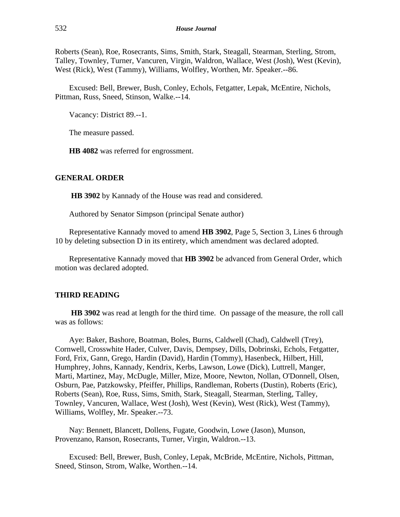Roberts (Sean), Roe, Rosecrants, Sims, Smith, Stark, Steagall, Stearman, Sterling, Strom, Talley, Townley, Turner, Vancuren, Virgin, Waldron, Wallace, West (Josh), West (Kevin), West (Rick), West (Tammy), Williams, Wolfley, Worthen, Mr. Speaker.--86.

Excused: Bell, Brewer, Bush, Conley, Echols, Fetgatter, Lepak, McEntire, Nichols, Pittman, Russ, Sneed, Stinson, Walke.--14.

Vacancy: District 89.--1.

The measure passed.

**HB 4082** was referred for engrossment.

## **GENERAL ORDER**

**HB 3902** by Kannady of the House was read and considered.

Authored by Senator Simpson (principal Senate author)

Representative Kannady moved to amend **HB 3902**, Page 5, Section 3, Lines 6 through 10 by deleting subsection D in its entirety, which amendment was declared adopted.

Representative Kannady moved that **HB 3902** be advanced from General Order, which motion was declared adopted.

## **THIRD READING**

**HB 3902** was read at length for the third time. On passage of the measure, the roll call was as follows:

Aye: Baker, Bashore, Boatman, Boles, Burns, Caldwell (Chad), Caldwell (Trey), Cornwell, Crosswhite Hader, Culver, Davis, Dempsey, Dills, Dobrinski, Echols, Fetgatter, Ford, Frix, Gann, Grego, Hardin (David), Hardin (Tommy), Hasenbeck, Hilbert, Hill, Humphrey, Johns, Kannady, Kendrix, Kerbs, Lawson, Lowe (Dick), Luttrell, Manger, Marti, Martinez, May, McDugle, Miller, Mize, Moore, Newton, Nollan, O'Donnell, Olsen, Osburn, Pae, Patzkowsky, Pfeiffer, Phillips, Randleman, Roberts (Dustin), Roberts (Eric), Roberts (Sean), Roe, Russ, Sims, Smith, Stark, Steagall, Stearman, Sterling, Talley, Townley, Vancuren, Wallace, West (Josh), West (Kevin), West (Rick), West (Tammy), Williams, Wolfley, Mr. Speaker.--73.

Nay: Bennett, Blancett, Dollens, Fugate, Goodwin, Lowe (Jason), Munson, Provenzano, Ranson, Rosecrants, Turner, Virgin, Waldron.--13.

Excused: Bell, Brewer, Bush, Conley, Lepak, McBride, McEntire, Nichols, Pittman, Sneed, Stinson, Strom, Walke, Worthen.--14.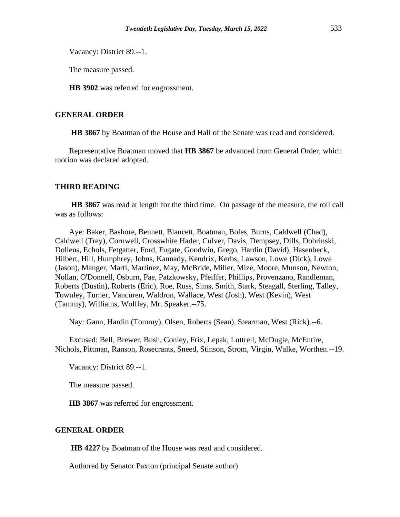Vacancy: District 89.--1.

The measure passed.

**HB 3902** was referred for engrossment.

## **GENERAL ORDER**

**HB 3867** by Boatman of the House and Hall of the Senate was read and considered.

Representative Boatman moved that **HB 3867** be advanced from General Order, which motion was declared adopted.

## **THIRD READING**

**HB 3867** was read at length for the third time. On passage of the measure, the roll call was as follows:

Aye: Baker, Bashore, Bennett, Blancett, Boatman, Boles, Burns, Caldwell (Chad), Caldwell (Trey), Cornwell, Crosswhite Hader, Culver, Davis, Dempsey, Dills, Dobrinski, Dollens, Echols, Fetgatter, Ford, Fugate, Goodwin, Grego, Hardin (David), Hasenbeck, Hilbert, Hill, Humphrey, Johns, Kannady, Kendrix, Kerbs, Lawson, Lowe (Dick), Lowe (Jason), Manger, Marti, Martinez, May, McBride, Miller, Mize, Moore, Munson, Newton, Nollan, O'Donnell, Osburn, Pae, Patzkowsky, Pfeiffer, Phillips, Provenzano, Randleman, Roberts (Dustin), Roberts (Eric), Roe, Russ, Sims, Smith, Stark, Steagall, Sterling, Talley, Townley, Turner, Vancuren, Waldron, Wallace, West (Josh), West (Kevin), West (Tammy), Williams, Wolfley, Mr. Speaker.--75.

Nay: Gann, Hardin (Tommy), Olsen, Roberts (Sean), Stearman, West (Rick).--6.

Excused: Bell, Brewer, Bush, Conley, Frix, Lepak, Luttrell, McDugle, McEntire, Nichols, Pittman, Ranson, Rosecrants, Sneed, Stinson, Strom, Virgin, Walke, Worthen.--19.

Vacancy: District 89.--1.

The measure passed.

**HB 3867** was referred for engrossment.

## **GENERAL ORDER**

**HB 4227** by Boatman of the House was read and considered.

Authored by Senator Paxton (principal Senate author)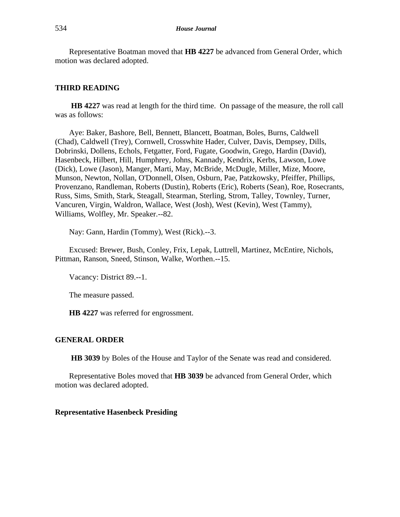Representative Boatman moved that **HB 4227** be advanced from General Order, which motion was declared adopted.

## **THIRD READING**

**HB 4227** was read at length for the third time. On passage of the measure, the roll call was as follows:

Aye: Baker, Bashore, Bell, Bennett, Blancett, Boatman, Boles, Burns, Caldwell (Chad), Caldwell (Trey), Cornwell, Crosswhite Hader, Culver, Davis, Dempsey, Dills, Dobrinski, Dollens, Echols, Fetgatter, Ford, Fugate, Goodwin, Grego, Hardin (David), Hasenbeck, Hilbert, Hill, Humphrey, Johns, Kannady, Kendrix, Kerbs, Lawson, Lowe (Dick), Lowe (Jason), Manger, Marti, May, McBride, McDugle, Miller, Mize, Moore, Munson, Newton, Nollan, O'Donnell, Olsen, Osburn, Pae, Patzkowsky, Pfeiffer, Phillips, Provenzano, Randleman, Roberts (Dustin), Roberts (Eric), Roberts (Sean), Roe, Rosecrants, Russ, Sims, Smith, Stark, Steagall, Stearman, Sterling, Strom, Talley, Townley, Turner, Vancuren, Virgin, Waldron, Wallace, West (Josh), West (Kevin), West (Tammy), Williams, Wolfley, Mr. Speaker.--82.

Nay: Gann, Hardin (Tommy), West (Rick).--3.

Excused: Brewer, Bush, Conley, Frix, Lepak, Luttrell, Martinez, McEntire, Nichols, Pittman, Ranson, Sneed, Stinson, Walke, Worthen.--15.

Vacancy: District 89.--1.

The measure passed.

**HB 4227** was referred for engrossment.

#### **GENERAL ORDER**

**HB 3039** by Boles of the House and Taylor of the Senate was read and considered.

Representative Boles moved that **HB 3039** be advanced from General Order, which motion was declared adopted.

## **Representative Hasenbeck Presiding**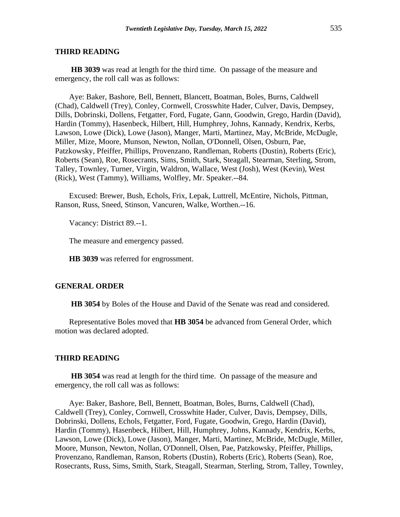**HB 3039** was read at length for the third time. On passage of the measure and emergency, the roll call was as follows:

Aye: Baker, Bashore, Bell, Bennett, Blancett, Boatman, Boles, Burns, Caldwell (Chad), Caldwell (Trey), Conley, Cornwell, Crosswhite Hader, Culver, Davis, Dempsey, Dills, Dobrinski, Dollens, Fetgatter, Ford, Fugate, Gann, Goodwin, Grego, Hardin (David), Hardin (Tommy), Hasenbeck, Hilbert, Hill, Humphrey, Johns, Kannady, Kendrix, Kerbs, Lawson, Lowe (Dick), Lowe (Jason), Manger, Marti, Martinez, May, McBride, McDugle, Miller, Mize, Moore, Munson, Newton, Nollan, O'Donnell, Olsen, Osburn, Pae, Patzkowsky, Pfeiffer, Phillips, Provenzano, Randleman, Roberts (Dustin), Roberts (Eric), Roberts (Sean), Roe, Rosecrants, Sims, Smith, Stark, Steagall, Stearman, Sterling, Strom, Talley, Townley, Turner, Virgin, Waldron, Wallace, West (Josh), West (Kevin), West (Rick), West (Tammy), Williams, Wolfley, Mr. Speaker.--84.

Excused: Brewer, Bush, Echols, Frix, Lepak, Luttrell, McEntire, Nichols, Pittman, Ranson, Russ, Sneed, Stinson, Vancuren, Walke, Worthen.--16.

Vacancy: District 89.--1.

The measure and emergency passed.

**HB 3039** was referred for engrossment.

## **GENERAL ORDER**

**HB 3054** by Boles of the House and David of the Senate was read and considered.

Representative Boles moved that **HB 3054** be advanced from General Order, which motion was declared adopted.

#### **THIRD READING**

**HB 3054** was read at length for the third time. On passage of the measure and emergency, the roll call was as follows:

Aye: Baker, Bashore, Bell, Bennett, Boatman, Boles, Burns, Caldwell (Chad), Caldwell (Trey), Conley, Cornwell, Crosswhite Hader, Culver, Davis, Dempsey, Dills, Dobrinski, Dollens, Echols, Fetgatter, Ford, Fugate, Goodwin, Grego, Hardin (David), Hardin (Tommy), Hasenbeck, Hilbert, Hill, Humphrey, Johns, Kannady, Kendrix, Kerbs, Lawson, Lowe (Dick), Lowe (Jason), Manger, Marti, Martinez, McBride, McDugle, Miller, Moore, Munson, Newton, Nollan, O'Donnell, Olsen, Pae, Patzkowsky, Pfeiffer, Phillips, Provenzano, Randleman, Ranson, Roberts (Dustin), Roberts (Eric), Roberts (Sean), Roe, Rosecrants, Russ, Sims, Smith, Stark, Steagall, Stearman, Sterling, Strom, Talley, Townley,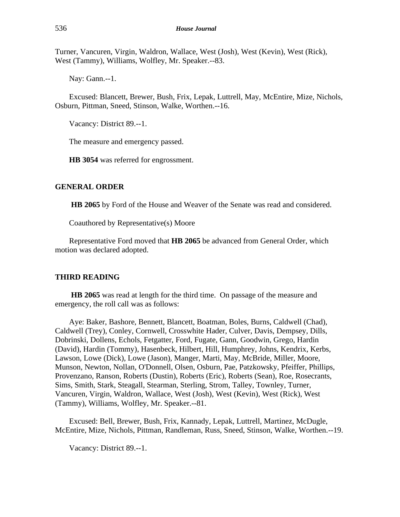Turner, Vancuren, Virgin, Waldron, Wallace, West (Josh), West (Kevin), West (Rick), West (Tammy), Williams, Wolfley, Mr. Speaker.--83.

Nay: Gann.--1.

Excused: Blancett, Brewer, Bush, Frix, Lepak, Luttrell, May, McEntire, Mize, Nichols, Osburn, Pittman, Sneed, Stinson, Walke, Worthen.--16.

Vacancy: District 89.--1.

The measure and emergency passed.

**HB 3054** was referred for engrossment.

## **GENERAL ORDER**

**HB 2065** by Ford of the House and Weaver of the Senate was read and considered.

Coauthored by Representative(s) Moore

Representative Ford moved that **HB 2065** be advanced from General Order, which motion was declared adopted.

## **THIRD READING**

**HB 2065** was read at length for the third time. On passage of the measure and emergency, the roll call was as follows:

Aye: Baker, Bashore, Bennett, Blancett, Boatman, Boles, Burns, Caldwell (Chad), Caldwell (Trey), Conley, Cornwell, Crosswhite Hader, Culver, Davis, Dempsey, Dills, Dobrinski, Dollens, Echols, Fetgatter, Ford, Fugate, Gann, Goodwin, Grego, Hardin (David), Hardin (Tommy), Hasenbeck, Hilbert, Hill, Humphrey, Johns, Kendrix, Kerbs, Lawson, Lowe (Dick), Lowe (Jason), Manger, Marti, May, McBride, Miller, Moore, Munson, Newton, Nollan, O'Donnell, Olsen, Osburn, Pae, Patzkowsky, Pfeiffer, Phillips, Provenzano, Ranson, Roberts (Dustin), Roberts (Eric), Roberts (Sean), Roe, Rosecrants, Sims, Smith, Stark, Steagall, Stearman, Sterling, Strom, Talley, Townley, Turner, Vancuren, Virgin, Waldron, Wallace, West (Josh), West (Kevin), West (Rick), West (Tammy), Williams, Wolfley, Mr. Speaker.--81.

Excused: Bell, Brewer, Bush, Frix, Kannady, Lepak, Luttrell, Martinez, McDugle, McEntire, Mize, Nichols, Pittman, Randleman, Russ, Sneed, Stinson, Walke, Worthen.--19.

Vacancy: District 89.--1.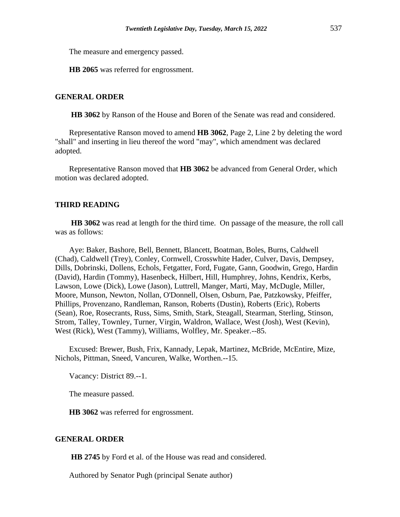The measure and emergency passed.

**HB 2065** was referred for engrossment.

## **GENERAL ORDER**

**HB 3062** by Ranson of the House and Boren of the Senate was read and considered.

Representative Ranson moved to amend **HB 3062**, Page 2, Line 2 by deleting the word "shall" and inserting in lieu thereof the word "may", which amendment was declared adopted.

Representative Ranson moved that **HB 3062** be advanced from General Order, which motion was declared adopted.

## **THIRD READING**

**HB 3062** was read at length for the third time. On passage of the measure, the roll call was as follows:

Aye: Baker, Bashore, Bell, Bennett, Blancett, Boatman, Boles, Burns, Caldwell (Chad), Caldwell (Trey), Conley, Cornwell, Crosswhite Hader, Culver, Davis, Dempsey, Dills, Dobrinski, Dollens, Echols, Fetgatter, Ford, Fugate, Gann, Goodwin, Grego, Hardin (David), Hardin (Tommy), Hasenbeck, Hilbert, Hill, Humphrey, Johns, Kendrix, Kerbs, Lawson, Lowe (Dick), Lowe (Jason), Luttrell, Manger, Marti, May, McDugle, Miller, Moore, Munson, Newton, Nollan, O'Donnell, Olsen, Osburn, Pae, Patzkowsky, Pfeiffer, Phillips, Provenzano, Randleman, Ranson, Roberts (Dustin), Roberts (Eric), Roberts (Sean), Roe, Rosecrants, Russ, Sims, Smith, Stark, Steagall, Stearman, Sterling, Stinson, Strom, Talley, Townley, Turner, Virgin, Waldron, Wallace, West (Josh), West (Kevin), West (Rick), West (Tammy), Williams, Wolfley, Mr. Speaker.--85.

Excused: Brewer, Bush, Frix, Kannady, Lepak, Martinez, McBride, McEntire, Mize, Nichols, Pittman, Sneed, Vancuren, Walke, Worthen.--15.

Vacancy: District 89.--1.

The measure passed.

**HB 3062** was referred for engrossment.

## **GENERAL ORDER**

**HB 2745** by Ford et al. of the House was read and considered.

Authored by Senator Pugh (principal Senate author)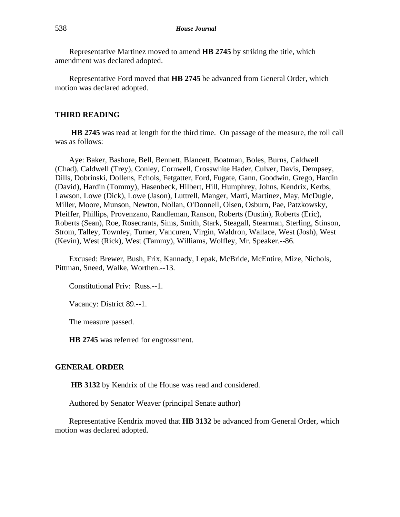Representative Martinez moved to amend **HB 2745** by striking the title, which amendment was declared adopted.

Representative Ford moved that **HB 2745** be advanced from General Order, which motion was declared adopted.

## **THIRD READING**

**HB 2745** was read at length for the third time. On passage of the measure, the roll call was as follows:

Aye: Baker, Bashore, Bell, Bennett, Blancett, Boatman, Boles, Burns, Caldwell (Chad), Caldwell (Trey), Conley, Cornwell, Crosswhite Hader, Culver, Davis, Dempsey, Dills, Dobrinski, Dollens, Echols, Fetgatter, Ford, Fugate, Gann, Goodwin, Grego, Hardin (David), Hardin (Tommy), Hasenbeck, Hilbert, Hill, Humphrey, Johns, Kendrix, Kerbs, Lawson, Lowe (Dick), Lowe (Jason), Luttrell, Manger, Marti, Martinez, May, McDugle, Miller, Moore, Munson, Newton, Nollan, O'Donnell, Olsen, Osburn, Pae, Patzkowsky, Pfeiffer, Phillips, Provenzano, Randleman, Ranson, Roberts (Dustin), Roberts (Eric), Roberts (Sean), Roe, Rosecrants, Sims, Smith, Stark, Steagall, Stearman, Sterling, Stinson, Strom, Talley, Townley, Turner, Vancuren, Virgin, Waldron, Wallace, West (Josh), West (Kevin), West (Rick), West (Tammy), Williams, Wolfley, Mr. Speaker.--86.

Excused: Brewer, Bush, Frix, Kannady, Lepak, McBride, McEntire, Mize, Nichols, Pittman, Sneed, Walke, Worthen.--13.

Constitutional Priv: Russ.--1.

Vacancy: District 89.--1.

The measure passed.

**HB 2745** was referred for engrossment.

## **GENERAL ORDER**

**HB 3132** by Kendrix of the House was read and considered.

Authored by Senator Weaver (principal Senate author)

Representative Kendrix moved that **HB 3132** be advanced from General Order, which motion was declared adopted.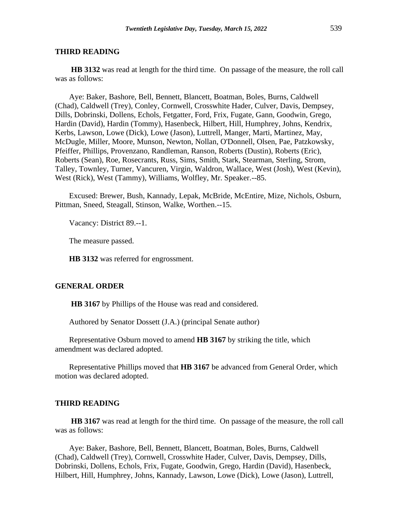**HB 3132** was read at length for the third time. On passage of the measure, the roll call was as follows:

Aye: Baker, Bashore, Bell, Bennett, Blancett, Boatman, Boles, Burns, Caldwell (Chad), Caldwell (Trey), Conley, Cornwell, Crosswhite Hader, Culver, Davis, Dempsey, Dills, Dobrinski, Dollens, Echols, Fetgatter, Ford, Frix, Fugate, Gann, Goodwin, Grego, Hardin (David), Hardin (Tommy), Hasenbeck, Hilbert, Hill, Humphrey, Johns, Kendrix, Kerbs, Lawson, Lowe (Dick), Lowe (Jason), Luttrell, Manger, Marti, Martinez, May, McDugle, Miller, Moore, Munson, Newton, Nollan, O'Donnell, Olsen, Pae, Patzkowsky, Pfeiffer, Phillips, Provenzano, Randleman, Ranson, Roberts (Dustin), Roberts (Eric), Roberts (Sean), Roe, Rosecrants, Russ, Sims, Smith, Stark, Stearman, Sterling, Strom, Talley, Townley, Turner, Vancuren, Virgin, Waldron, Wallace, West (Josh), West (Kevin), West (Rick), West (Tammy), Williams, Wolfley, Mr. Speaker.--85.

Excused: Brewer, Bush, Kannady, Lepak, McBride, McEntire, Mize, Nichols, Osburn, Pittman, Sneed, Steagall, Stinson, Walke, Worthen.--15.

Vacancy: District 89.--1.

The measure passed.

**HB 3132** was referred for engrossment.

## **GENERAL ORDER**

**HB 3167** by Phillips of the House was read and considered.

Authored by Senator Dossett (J.A.) (principal Senate author)

Representative Osburn moved to amend **HB 3167** by striking the title, which amendment was declared adopted.

Representative Phillips moved that **HB 3167** be advanced from General Order, which motion was declared adopted.

## **THIRD READING**

**HB 3167** was read at length for the third time. On passage of the measure, the roll call was as follows:

Aye: Baker, Bashore, Bell, Bennett, Blancett, Boatman, Boles, Burns, Caldwell (Chad), Caldwell (Trey), Cornwell, Crosswhite Hader, Culver, Davis, Dempsey, Dills, Dobrinski, Dollens, Echols, Frix, Fugate, Goodwin, Grego, Hardin (David), Hasenbeck, Hilbert, Hill, Humphrey, Johns, Kannady, Lawson, Lowe (Dick), Lowe (Jason), Luttrell,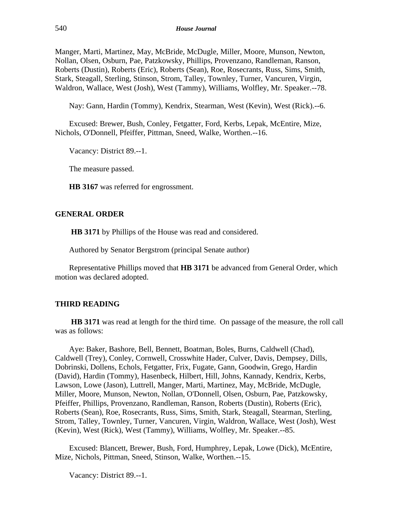Manger, Marti, Martinez, May, McBride, McDugle, Miller, Moore, Munson, Newton, Nollan, Olsen, Osburn, Pae, Patzkowsky, Phillips, Provenzano, Randleman, Ranson, Roberts (Dustin), Roberts (Eric), Roberts (Sean), Roe, Rosecrants, Russ, Sims, Smith, Stark, Steagall, Sterling, Stinson, Strom, Talley, Townley, Turner, Vancuren, Virgin, Waldron, Wallace, West (Josh), West (Tammy), Williams, Wolfley, Mr. Speaker.--78.

Nay: Gann, Hardin (Tommy), Kendrix, Stearman, West (Kevin), West (Rick).--6.

Excused: Brewer, Bush, Conley, Fetgatter, Ford, Kerbs, Lepak, McEntire, Mize, Nichols, O'Donnell, Pfeiffer, Pittman, Sneed, Walke, Worthen.--16.

Vacancy: District 89.--1.

The measure passed.

**HB 3167** was referred for engrossment.

## **GENERAL ORDER**

**HB 3171** by Phillips of the House was read and considered.

Authored by Senator Bergstrom (principal Senate author)

Representative Phillips moved that **HB 3171** be advanced from General Order, which motion was declared adopted.

## **THIRD READING**

**HB 3171** was read at length for the third time. On passage of the measure, the roll call was as follows:

Aye: Baker, Bashore, Bell, Bennett, Boatman, Boles, Burns, Caldwell (Chad), Caldwell (Trey), Conley, Cornwell, Crosswhite Hader, Culver, Davis, Dempsey, Dills, Dobrinski, Dollens, Echols, Fetgatter, Frix, Fugate, Gann, Goodwin, Grego, Hardin (David), Hardin (Tommy), Hasenbeck, Hilbert, Hill, Johns, Kannady, Kendrix, Kerbs, Lawson, Lowe (Jason), Luttrell, Manger, Marti, Martinez, May, McBride, McDugle, Miller, Moore, Munson, Newton, Nollan, O'Donnell, Olsen, Osburn, Pae, Patzkowsky, Pfeiffer, Phillips, Provenzano, Randleman, Ranson, Roberts (Dustin), Roberts (Eric), Roberts (Sean), Roe, Rosecrants, Russ, Sims, Smith, Stark, Steagall, Stearman, Sterling, Strom, Talley, Townley, Turner, Vancuren, Virgin, Waldron, Wallace, West (Josh), West (Kevin), West (Rick), West (Tammy), Williams, Wolfley, Mr. Speaker.--85.

Excused: Blancett, Brewer, Bush, Ford, Humphrey, Lepak, Lowe (Dick), McEntire, Mize, Nichols, Pittman, Sneed, Stinson, Walke, Worthen.--15.

Vacancy: District 89.--1.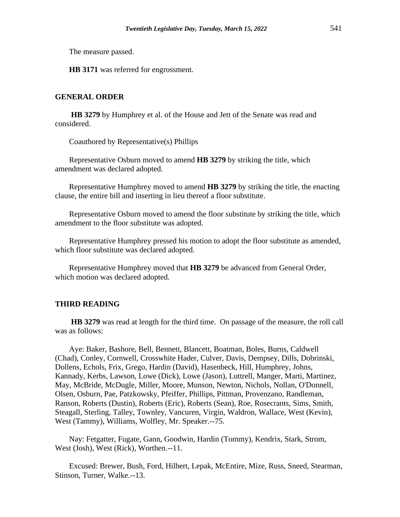The measure passed.

**HB 3171** was referred for engrossment.

## **GENERAL ORDER**

**HB 3279** by Humphrey et al. of the House and Jett of the Senate was read and considered.

Coauthored by Representative(s) Phillips

Representative Osburn moved to amend **HB 3279** by striking the title, which amendment was declared adopted.

Representative Humphrey moved to amend **HB 3279** by striking the title, the enacting clause, the entire bill and inserting in lieu thereof a floor substitute.

Representative Osburn moved to amend the floor substitute by striking the title, which amendment to the floor substitute was adopted.

Representative Humphrey pressed his motion to adopt the floor substitute as amended, which floor substitute was declared adopted.

Representative Humphrey moved that **HB 3279** be advanced from General Order, which motion was declared adopted.

## **THIRD READING**

**HB 3279** was read at length for the third time. On passage of the measure, the roll call was as follows:

Aye: Baker, Bashore, Bell, Bennett, Blancett, Boatman, Boles, Burns, Caldwell (Chad), Conley, Cornwell, Crosswhite Hader, Culver, Davis, Dempsey, Dills, Dobrinski, Dollens, Echols, Frix, Grego, Hardin (David), Hasenbeck, Hill, Humphrey, Johns, Kannady, Kerbs, Lawson, Lowe (Dick), Lowe (Jason), Luttrell, Manger, Marti, Martinez, May, McBride, McDugle, Miller, Moore, Munson, Newton, Nichols, Nollan, O'Donnell, Olsen, Osburn, Pae, Patzkowsky, Pfeiffer, Phillips, Pittman, Provenzano, Randleman, Ranson, Roberts (Dustin), Roberts (Eric), Roberts (Sean), Roe, Rosecrants, Sims, Smith, Steagall, Sterling, Talley, Townley, Vancuren, Virgin, Waldron, Wallace, West (Kevin), West (Tammy), Williams, Wolfley, Mr. Speaker.--75.

Nay: Fetgatter, Fugate, Gann, Goodwin, Hardin (Tommy), Kendrix, Stark, Strom, West (Josh), West (Rick), Worthen.--11.

Excused: Brewer, Bush, Ford, Hilbert, Lepak, McEntire, Mize, Russ, Sneed, Stearman, Stinson, Turner, Walke.--13.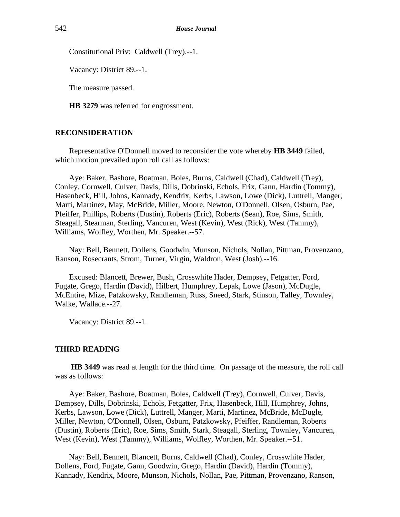Constitutional Priv: Caldwell (Trey).--1.

Vacancy: District 89.--1.

The measure passed.

**HB 3279** was referred for engrossment.

## **RECONSIDERATION**

Representative O'Donnell moved to reconsider the vote whereby **HB 3449** failed, which motion prevailed upon roll call as follows:

Aye: Baker, Bashore, Boatman, Boles, Burns, Caldwell (Chad), Caldwell (Trey), Conley, Cornwell, Culver, Davis, Dills, Dobrinski, Echols, Frix, Gann, Hardin (Tommy), Hasenbeck, Hill, Johns, Kannady, Kendrix, Kerbs, Lawson, Lowe (Dick), Luttrell, Manger, Marti, Martinez, May, McBride, Miller, Moore, Newton, O'Donnell, Olsen, Osburn, Pae, Pfeiffer, Phillips, Roberts (Dustin), Roberts (Eric), Roberts (Sean), Roe, Sims, Smith, Steagall, Stearman, Sterling, Vancuren, West (Kevin), West (Rick), West (Tammy), Williams, Wolfley, Worthen, Mr. Speaker.--57.

Nay: Bell, Bennett, Dollens, Goodwin, Munson, Nichols, Nollan, Pittman, Provenzano, Ranson, Rosecrants, Strom, Turner, Virgin, Waldron, West (Josh).--16.

Excused: Blancett, Brewer, Bush, Crosswhite Hader, Dempsey, Fetgatter, Ford, Fugate, Grego, Hardin (David), Hilbert, Humphrey, Lepak, Lowe (Jason), McDugle, McEntire, Mize, Patzkowsky, Randleman, Russ, Sneed, Stark, Stinson, Talley, Townley, Walke, Wallace.--27.

Vacancy: District 89.--1.

## **THIRD READING**

**HB 3449** was read at length for the third time. On passage of the measure, the roll call was as follows:

Aye: Baker, Bashore, Boatman, Boles, Caldwell (Trey), Cornwell, Culver, Davis, Dempsey, Dills, Dobrinski, Echols, Fetgatter, Frix, Hasenbeck, Hill, Humphrey, Johns, Kerbs, Lawson, Lowe (Dick), Luttrell, Manger, Marti, Martinez, McBride, McDugle, Miller, Newton, O'Donnell, Olsen, Osburn, Patzkowsky, Pfeiffer, Randleman, Roberts (Dustin), Roberts (Eric), Roe, Sims, Smith, Stark, Steagall, Sterling, Townley, Vancuren, West (Kevin), West (Tammy), Williams, Wolfley, Worthen, Mr. Speaker.--51.

Nay: Bell, Bennett, Blancett, Burns, Caldwell (Chad), Conley, Crosswhite Hader, Dollens, Ford, Fugate, Gann, Goodwin, Grego, Hardin (David), Hardin (Tommy), Kannady, Kendrix, Moore, Munson, Nichols, Nollan, Pae, Pittman, Provenzano, Ranson,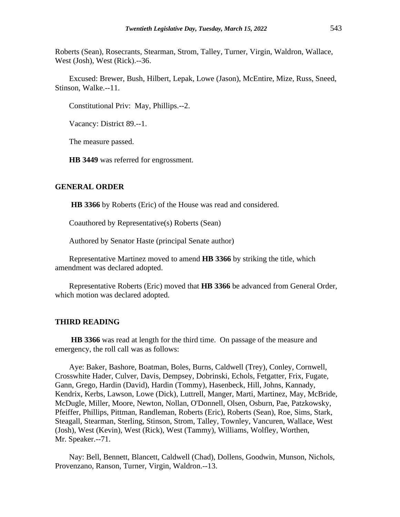Roberts (Sean), Rosecrants, Stearman, Strom, Talley, Turner, Virgin, Waldron, Wallace, West (Josh), West (Rick).--36.

Excused: Brewer, Bush, Hilbert, Lepak, Lowe (Jason), McEntire, Mize, Russ, Sneed, Stinson, Walke.--11.

Constitutional Priv: May, Phillips.--2.

Vacancy: District 89.--1.

The measure passed.

**HB 3449** was referred for engrossment.

## **GENERAL ORDER**

**HB 3366** by Roberts (Eric) of the House was read and considered.

Coauthored by Representative(s) Roberts (Sean)

Authored by Senator Haste (principal Senate author)

Representative Martinez moved to amend **HB 3366** by striking the title, which amendment was declared adopted.

Representative Roberts (Eric) moved that **HB 3366** be advanced from General Order, which motion was declared adopted.

#### **THIRD READING**

**HB 3366** was read at length for the third time. On passage of the measure and emergency, the roll call was as follows:

Aye: Baker, Bashore, Boatman, Boles, Burns, Caldwell (Trey), Conley, Cornwell, Crosswhite Hader, Culver, Davis, Dempsey, Dobrinski, Echols, Fetgatter, Frix, Fugate, Gann, Grego, Hardin (David), Hardin (Tommy), Hasenbeck, Hill, Johns, Kannady, Kendrix, Kerbs, Lawson, Lowe (Dick), Luttrell, Manger, Marti, Martinez, May, McBride, McDugle, Miller, Moore, Newton, Nollan, O'Donnell, Olsen, Osburn, Pae, Patzkowsky, Pfeiffer, Phillips, Pittman, Randleman, Roberts (Eric), Roberts (Sean), Roe, Sims, Stark, Steagall, Stearman, Sterling, Stinson, Strom, Talley, Townley, Vancuren, Wallace, West (Josh), West (Kevin), West (Rick), West (Tammy), Williams, Wolfley, Worthen, Mr. Speaker.--71.

Nay: Bell, Bennett, Blancett, Caldwell (Chad), Dollens, Goodwin, Munson, Nichols, Provenzano, Ranson, Turner, Virgin, Waldron.--13.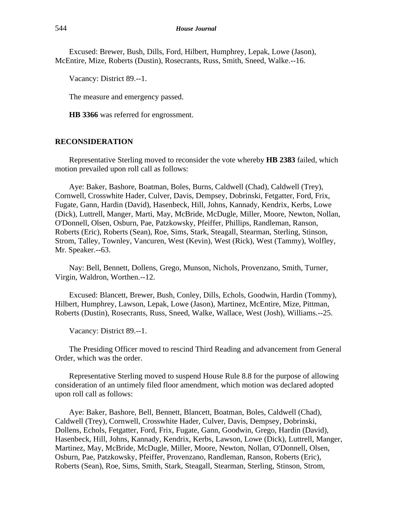Excused: Brewer, Bush, Dills, Ford, Hilbert, Humphrey, Lepak, Lowe (Jason), McEntire, Mize, Roberts (Dustin), Rosecrants, Russ, Smith, Sneed, Walke.--16.

Vacancy: District 89.--1.

The measure and emergency passed.

**HB 3366** was referred for engrossment.

## **RECONSIDERATION**

Representative Sterling moved to reconsider the vote whereby **HB 2383** failed, which motion prevailed upon roll call as follows:

Aye: Baker, Bashore, Boatman, Boles, Burns, Caldwell (Chad), Caldwell (Trey), Cornwell, Crosswhite Hader, Culver, Davis, Dempsey, Dobrinski, Fetgatter, Ford, Frix, Fugate, Gann, Hardin (David), Hasenbeck, Hill, Johns, Kannady, Kendrix, Kerbs, Lowe (Dick), Luttrell, Manger, Marti, May, McBride, McDugle, Miller, Moore, Newton, Nollan, O'Donnell, Olsen, Osburn, Pae, Patzkowsky, Pfeiffer, Phillips, Randleman, Ranson, Roberts (Eric), Roberts (Sean), Roe, Sims, Stark, Steagall, Stearman, Sterling, Stinson, Strom, Talley, Townley, Vancuren, West (Kevin), West (Rick), West (Tammy), Wolfley, Mr. Speaker.--63.

Nay: Bell, Bennett, Dollens, Grego, Munson, Nichols, Provenzano, Smith, Turner, Virgin, Waldron, Worthen.--12.

Excused: Blancett, Brewer, Bush, Conley, Dills, Echols, Goodwin, Hardin (Tommy), Hilbert, Humphrey, Lawson, Lepak, Lowe (Jason), Martinez, McEntire, Mize, Pittman, Roberts (Dustin), Rosecrants, Russ, Sneed, Walke, Wallace, West (Josh), Williams.--25.

Vacancy: District 89.--1.

The Presiding Officer moved to rescind Third Reading and advancement from General Order, which was the order.

Representative Sterling moved to suspend House Rule 8.8 for the purpose of allowing consideration of an untimely filed floor amendment, which motion was declared adopted upon roll call as follows:

Aye: Baker, Bashore, Bell, Bennett, Blancett, Boatman, Boles, Caldwell (Chad), Caldwell (Trey), Cornwell, Crosswhite Hader, Culver, Davis, Dempsey, Dobrinski, Dollens, Echols, Fetgatter, Ford, Frix, Fugate, Gann, Goodwin, Grego, Hardin (David), Hasenbeck, Hill, Johns, Kannady, Kendrix, Kerbs, Lawson, Lowe (Dick), Luttrell, Manger, Martinez, May, McBride, McDugle, Miller, Moore, Newton, Nollan, O'Donnell, Olsen, Osburn, Pae, Patzkowsky, Pfeiffer, Provenzano, Randleman, Ranson, Roberts (Eric), Roberts (Sean), Roe, Sims, Smith, Stark, Steagall, Stearman, Sterling, Stinson, Strom,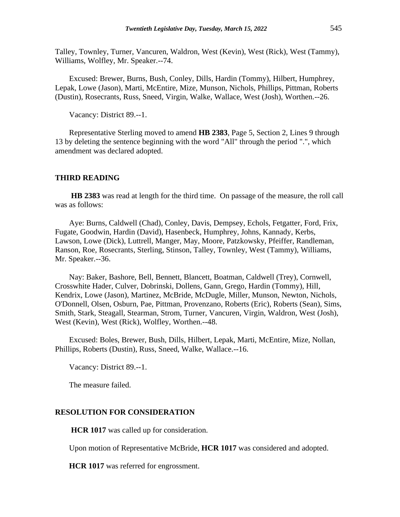Talley, Townley, Turner, Vancuren, Waldron, West (Kevin), West (Rick), West (Tammy), Williams, Wolfley, Mr. Speaker.--74.

Excused: Brewer, Burns, Bush, Conley, Dills, Hardin (Tommy), Hilbert, Humphrey, Lepak, Lowe (Jason), Marti, McEntire, Mize, Munson, Nichols, Phillips, Pittman, Roberts (Dustin), Rosecrants, Russ, Sneed, Virgin, Walke, Wallace, West (Josh), Worthen.--26.

Vacancy: District 89.--1.

Representative Sterling moved to amend **HB 2383**, Page 5, Section 2, Lines 9 through 13 by deleting the sentence beginning with the word "All" through the period ".", which amendment was declared adopted.

#### **THIRD READING**

**HB 2383** was read at length for the third time. On passage of the measure, the roll call was as follows:

Aye: Burns, Caldwell (Chad), Conley, Davis, Dempsey, Echols, Fetgatter, Ford, Frix, Fugate, Goodwin, Hardin (David), Hasenbeck, Humphrey, Johns, Kannady, Kerbs, Lawson, Lowe (Dick), Luttrell, Manger, May, Moore, Patzkowsky, Pfeiffer, Randleman, Ranson, Roe, Rosecrants, Sterling, Stinson, Talley, Townley, West (Tammy), Williams, Mr. Speaker.--36.

Nay: Baker, Bashore, Bell, Bennett, Blancett, Boatman, Caldwell (Trey), Cornwell, Crosswhite Hader, Culver, Dobrinski, Dollens, Gann, Grego, Hardin (Tommy), Hill, Kendrix, Lowe (Jason), Martinez, McBride, McDugle, Miller, Munson, Newton, Nichols, O'Donnell, Olsen, Osburn, Pae, Pittman, Provenzano, Roberts (Eric), Roberts (Sean), Sims, Smith, Stark, Steagall, Stearman, Strom, Turner, Vancuren, Virgin, Waldron, West (Josh), West (Kevin), West (Rick), Wolfley, Worthen.--48.

Excused: Boles, Brewer, Bush, Dills, Hilbert, Lepak, Marti, McEntire, Mize, Nollan, Phillips, Roberts (Dustin), Russ, Sneed, Walke, Wallace.--16.

Vacancy: District 89.--1.

The measure failed.

#### **RESOLUTION FOR CONSIDERATION**

**HCR 1017** was called up for consideration.

Upon motion of Representative McBride, **HCR 1017** was considered and adopted.

**HCR 1017** was referred for engrossment.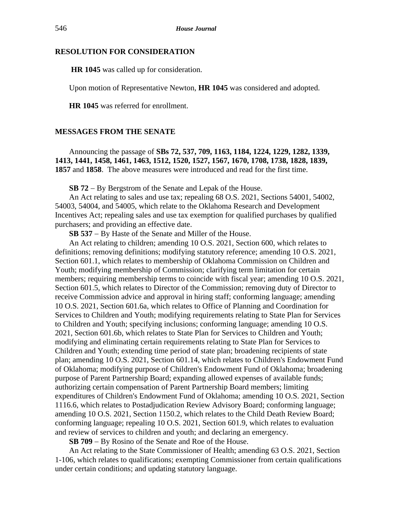## **RESOLUTION FOR CONSIDERATION**

**HR 1045** was called up for consideration.

Upon motion of Representative Newton, **HR 1045** was considered and adopted.

**HR 1045** was referred for enrollment.

## **MESSAGES FROM THE SENATE**

Announcing the passage of **SBs 72, 537, 709, 1163, 1184, 1224, 1229, 1282, 1339, 1413, 1441, 1458, 1461, 1463, 1512, 1520, 1527, 1567, 1670, 1708, 1738, 1828, 1839, 1857** and **1858**. The above measures were introduced and read for the first time.

**SB 72** − By Bergstrom of the Senate and Lepak of the House.

An Act relating to sales and use tax; repealing 68 O.S. 2021, Sections 54001, 54002, 54003, 54004, and 54005, which relate to the Oklahoma Research and Development Incentives Act; repealing sales and use tax exemption for qualified purchases by qualified purchasers; and providing an effective date.

**SB 537** − By Haste of the Senate and Miller of the House.

An Act relating to children; amending 10 O.S. 2021, Section 600, which relates to definitions; removing definitions; modifying statutory reference; amending 10 O.S. 2021, Section 601.1, which relates to membership of Oklahoma Commission on Children and Youth; modifying membership of Commission; clarifying term limitation for certain members; requiring membership terms to coincide with fiscal year; amending 10 O.S. 2021, Section 601.5, which relates to Director of the Commission; removing duty of Director to receive Commission advice and approval in hiring staff; conforming language; amending 10 O.S. 2021, Section 601.6a, which relates to Office of Planning and Coordination for Services to Children and Youth; modifying requirements relating to State Plan for Services to Children and Youth; specifying inclusions; conforming language; amending 10 O.S. 2021, Section 601.6b, which relates to State Plan for Services to Children and Youth; modifying and eliminating certain requirements relating to State Plan for Services to Children and Youth; extending time period of state plan; broadening recipients of state plan; amending 10 O.S. 2021, Section 601.14, which relates to Children's Endowment Fund of Oklahoma; modifying purpose of Children's Endowment Fund of Oklahoma; broadening purpose of Parent Partnership Board; expanding allowed expenses of available funds; authorizing certain compensation of Parent Partnership Board members; limiting expenditures of Children's Endowment Fund of Oklahoma; amending 10 O.S. 2021, Section 1116.6, which relates to Postadjudication Review Advisory Board; conforming language; amending 10 O.S. 2021, Section 1150.2, which relates to the Child Death Review Board; conforming language; repealing 10 O.S. 2021, Section 601.9, which relates to evaluation and review of services to children and youth; and declaring an emergency.

**SB 709** − By Rosino of the Senate and Roe of the House.

An Act relating to the State Commissioner of Health; amending 63 O.S. 2021, Section 1-106, which relates to qualifications; exempting Commissioner from certain qualifications under certain conditions; and updating statutory language.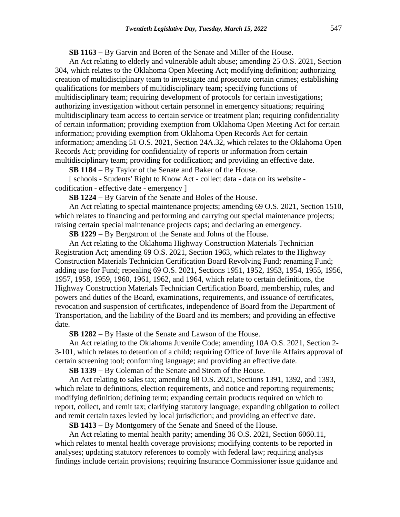**SB 1163** − By Garvin and Boren of the Senate and Miller of the House.

An Act relating to elderly and vulnerable adult abuse; amending 25 O.S. 2021, Section 304, which relates to the Oklahoma Open Meeting Act; modifying definition; authorizing creation of multidisciplinary team to investigate and prosecute certain crimes; establishing qualifications for members of multidisciplinary team; specifying functions of multidisciplinary team; requiring development of protocols for certain investigations; authorizing investigation without certain personnel in emergency situations; requiring multidisciplinary team access to certain service or treatment plan; requiring confidentiality of certain information; providing exemption from Oklahoma Open Meeting Act for certain information; providing exemption from Oklahoma Open Records Act for certain information; amending 51 O.S. 2021, Section 24A.32, which relates to the Oklahoma Open Records Act; providing for confidentiality of reports or information from certain multidisciplinary team; providing for codification; and providing an effective date.

**SB 1184** − By Taylor of the Senate and Baker of the House.

[ schools - Students' Right to Know Act - collect data - data on its website codification - effective date - emergency ]

**SB 1224** − By Garvin of the Senate and Boles of the House.

An Act relating to special maintenance projects; amending 69 O.S. 2021, Section 1510, which relates to financing and performing and carrying out special maintenance projects; raising certain special maintenance projects caps; and declaring an emergency.

**SB 1229** − By Bergstrom of the Senate and Johns of the House.

An Act relating to the Oklahoma Highway Construction Materials Technician Registration Act; amending 69 O.S. 2021, Section 1963, which relates to the Highway Construction Materials Technician Certification Board Revolving Fund; renaming Fund; adding use for Fund; repealing 69 O.S. 2021, Sections 1951, 1952, 1953, 1954, 1955, 1956, 1957, 1958, 1959, 1960, 1961, 1962, and 1964, which relate to certain definitions, the Highway Construction Materials Technician Certification Board, membership, rules, and powers and duties of the Board, examinations, requirements, and issuance of certificates, revocation and suspension of certificates, independence of Board from the Department of Transportation, and the liability of the Board and its members; and providing an effective date.

**SB 1282** − By Haste of the Senate and Lawson of the House.

An Act relating to the Oklahoma Juvenile Code; amending 10A O.S. 2021, Section 2- 3-101, which relates to detention of a child; requiring Office of Juvenile Affairs approval of certain screening tool; conforming language; and providing an effective date.

**SB 1339** − By Coleman of the Senate and Strom of the House.

An Act relating to sales tax; amending 68 O.S. 2021, Sections 1391, 1392, and 1393, which relate to definitions, election requirements, and notice and reporting requirements; modifying definition; defining term; expanding certain products required on which to report, collect, and remit tax; clarifying statutory language; expanding obligation to collect and remit certain taxes levied by local jurisdiction; and providing an effective date.

**SB 1413** − By Montgomery of the Senate and Sneed of the House.

An Act relating to mental health parity; amending 36 O.S. 2021, Section 6060.11, which relates to mental health coverage provisions; modifying contents to be reported in analyses; updating statutory references to comply with federal law; requiring analysis findings include certain provisions; requiring Insurance Commissioner issue guidance and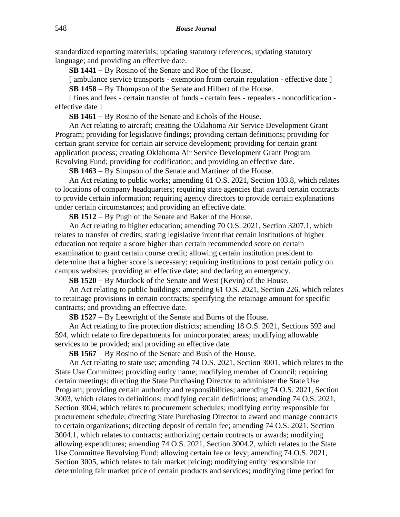standardized reporting materials; updating statutory references; updating statutory language; and providing an effective date.

**SB 1441** − By Rosino of the Senate and Roe of the House.

[ ambulance service transports - exemption from certain regulation - effective date ] **SB 1458** − By Thompson of the Senate and Hilbert of the House.

[ fines and fees - certain transfer of funds - certain fees - repealers - noncodification effective date ]

**SB 1461** − By Rosino of the Senate and Echols of the House.

An Act relating to aircraft; creating the Oklahoma Air Service Development Grant Program; providing for legislative findings; providing certain definitions; providing for certain grant service for certain air service development; providing for certain grant application process; creating Oklahoma Air Service Development Grant Program Revolving Fund; providing for codification; and providing an effective date.

**SB 1463** − By Simpson of the Senate and Martinez of the House.

An Act relating to public works; amending 61 O.S. 2021, Section 103.8, which relates to locations of company headquarters; requiring state agencies that award certain contracts to provide certain information; requiring agency directors to provide certain explanations under certain circumstances; and providing an effective date.

**SB 1512** − By Pugh of the Senate and Baker of the House.

An Act relating to higher education; amending 70 O.S. 2021, Section 3207.1, which relates to transfer of credits; stating legislative intent that certain institutions of higher education not require a score higher than certain recommended score on certain examination to grant certain course credit; allowing certain institution president to determine that a higher score is necessary; requiring institutions to post certain policy on campus websites; providing an effective date; and declaring an emergency.

**SB 1520** − By Murdock of the Senate and West (Kevin) of the House.

An Act relating to public buildings; amending 61 O.S. 2021, Section 226, which relates to retainage provisions in certain contracts; specifying the retainage amount for specific contracts; and providing an effective date.

**SB 1527** − By Leewright of the Senate and Burns of the House.

An Act relating to fire protection districts; amending 18 O.S. 2021, Sections 592 and 594, which relate to fire departments for unincorporated areas; modifying allowable services to be provided; and providing an effective date.

**SB 1567** − By Rosino of the Senate and Bush of the House.

An Act relating to state use; amending 74 O.S. 2021, Section 3001, which relates to the State Use Committee; providing entity name; modifying member of Council; requiring certain meetings; directing the State Purchasing Director to administer the State Use Program; providing certain authority and responsibilities; amending 74 O.S. 2021, Section 3003, which relates to definitions; modifying certain definitions; amending 74 O.S. 2021, Section 3004, which relates to procurement schedules; modifying entity responsible for procurement schedule; directing State Purchasing Director to award and manage contracts to certain organizations; directing deposit of certain fee; amending 74 O.S. 2021, Section 3004.1, which relates to contracts; authorizing certain contracts or awards; modifying allowing expenditures; amending 74 O.S. 2021, Section 3004.2, which relates to the State Use Committee Revolving Fund; allowing certain fee or levy; amending 74 O.S. 2021, Section 3005, which relates to fair market pricing; modifying entity responsible for determining fair market price of certain products and services; modifying time period for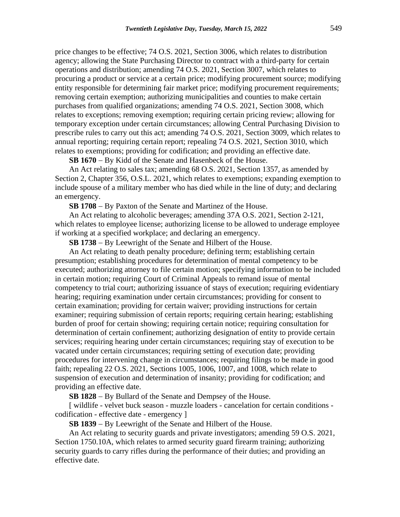price changes to be effective; 74 O.S. 2021, Section 3006, which relates to distribution agency; allowing the State Purchasing Director to contract with a third-party for certain operations and distribution; amending 74 O.S. 2021, Section 3007, which relates to procuring a product or service at a certain price; modifying procurement source; modifying entity responsible for determining fair market price; modifying procurement requirements; removing certain exemption; authorizing municipalities and counties to make certain purchases from qualified organizations; amending 74 O.S. 2021, Section 3008, which relates to exceptions; removing exemption; requiring certain pricing review; allowing for temporary exception under certain circumstances; allowing Central Purchasing Division to prescribe rules to carry out this act; amending 74 O.S. 2021, Section 3009, which relates to annual reporting; requiring certain report; repealing 74 O.S. 2021, Section 3010, which relates to exemptions; providing for codification; and providing an effective date.

**SB 1670** − By Kidd of the Senate and Hasenbeck of the House.

An Act relating to sales tax; amending 68 O.S. 2021, Section 1357, as amended by Section 2, Chapter 356, O.S.L. 2021, which relates to exemptions; expanding exemption to include spouse of a military member who has died while in the line of duty; and declaring an emergency.

**SB 1708** − By Paxton of the Senate and Martinez of the House.

An Act relating to alcoholic beverages; amending 37A O.S. 2021, Section 2-121, which relates to employee license; authorizing license to be allowed to underage employee if working at a specified workplace; and declaring an emergency.

**SB 1738** − By Leewright of the Senate and Hilbert of the House.

An Act relating to death penalty procedure; defining term; establishing certain presumption; establishing procedures for determination of mental competency to be executed; authorizing attorney to file certain motion; specifying information to be included in certain motion; requiring Court of Criminal Appeals to remand issue of mental competency to trial court; authorizing issuance of stays of execution; requiring evidentiary hearing; requiring examination under certain circumstances; providing for consent to certain examination; providing for certain waiver; providing instructions for certain examiner; requiring submission of certain reports; requiring certain hearing; establishing burden of proof for certain showing; requiring certain notice; requiring consultation for determination of certain confinement; authorizing designation of entity to provide certain services; requiring hearing under certain circumstances; requiring stay of execution to be vacated under certain circumstances; requiring setting of execution date; providing procedures for intervening change in circumstances; requiring filings to be made in good faith; repealing 22 O.S. 2021, Sections 1005, 1006, 1007, and 1008, which relate to suspension of execution and determination of insanity; providing for codification; and providing an effective date.

**SB 1828** − By Bullard of the Senate and Dempsey of the House.

[ wildlife - velvet buck season - muzzle loaders - cancelation for certain conditions codification - effective date - emergency ]

**SB 1839** − By Leewright of the Senate and Hilbert of the House.

An Act relating to security guards and private investigators; amending 59 O.S. 2021, Section 1750.10A, which relates to armed security guard firearm training; authorizing security guards to carry rifles during the performance of their duties; and providing an effective date.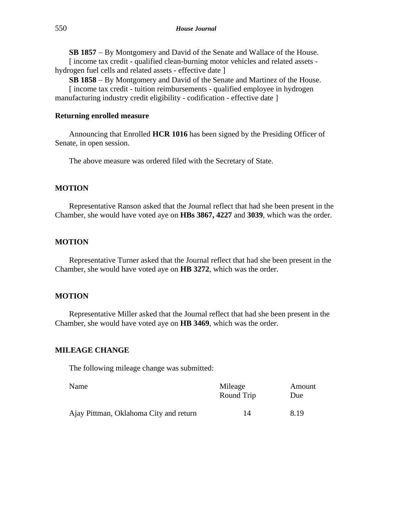**SB 1857** − By Montgomery and David of the Senate and Wallace of the House. [ income tax credit - qualified clean-burning motor vehicles and related assets -

hydrogen fuel cells and related assets - effective date ]

**SB 1858** − By Montgomery and David of the Senate and Martinez of the House.

[ income tax credit - tuition reimbursements - qualified employee in hydrogen manufacturing industry credit eligibility - codification - effective date ]

## **Returning enrolled measure**

Announcing that Enrolled **HCR 1016** has been signed by the Presiding Officer of Senate, in open session.

The above measure was ordered filed with the Secretary of State.

## **MOTION**

Representative Ranson asked that the Journal reflect that had she been present in the Chamber, she would have voted aye on **HBs 3867, 4227** and **3039**, which was the order.

## **MOTION**

Representative Turner asked that the Journal reflect that had she been present in the Chamber, she would have voted aye on **HB 3272**, which was the order.

## **MOTION**

Representative Miller asked that the Journal reflect that had she been present in the Chamber, she would have voted aye on **HB 3469**, which was the order.

## **MILEAGE CHANGE**

The following mileage change was submitted:

| Name                                   | Mileage<br>Round Trip | Amount<br>Due |
|----------------------------------------|-----------------------|---------------|
| Ajay Pittman, Oklahoma City and return | 14                    | 8.19          |